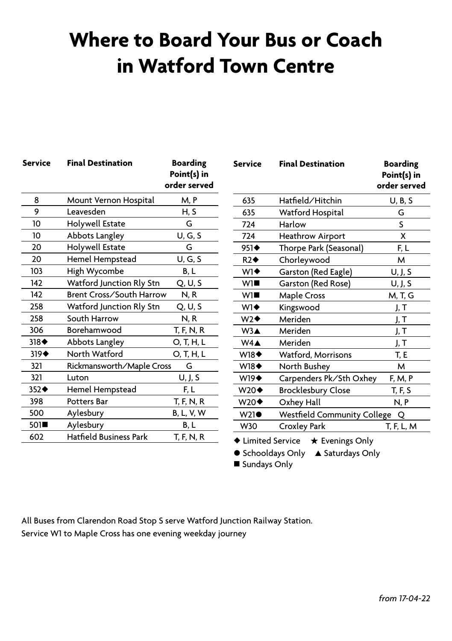## **Where to Board Your Bus or Coach in Watford Town Centre**

| <b>Service</b>      | <b>Final Destination</b>       | <b>Boarding</b><br>Point(s) in<br>order served |
|---------------------|--------------------------------|------------------------------------------------|
| 8                   | Mount Vernon Hospital          | M, P                                           |
| 9                   | Leavesden                      | H. S                                           |
| 10                  | Holywell Estate                | G                                              |
| 10                  | Abbots Langley                 | U, G, S                                        |
| 20                  | Holywell Estate                | G                                              |
| 20                  | Hemel Hempstead                | U, G, S                                        |
| 103                 | High Wycombe                   | B, L                                           |
| 142                 | Watford Junction Rly Stn       | Q, U, S                                        |
| 142                 | Brent Cross/South Harrow       | N, R                                           |
| 258                 | Watford Junction Rly Stn       | Q, U, S                                        |
| 258                 | South Harrow                   | N, R                                           |
| 306                 | Borehamwood                    | T, F, N, R                                     |
| $318 \triangleleft$ | Abbots Langley                 | O, T, H, L                                     |
| $319 \triangleleft$ | North Watford                  | O, T, H, L                                     |
| 321                 | Rickmansworth/Maple Cross<br>G |                                                |
| 321                 | Luton                          | U, J, S                                        |
| 352♦                | Hemel Hempstead                | F, L                                           |
| 398                 | Potters Bar                    | T, F, N, R                                     |
| 500                 | Aylesbury                      | <b>B, L, V, W</b>                              |
| 501■                | Aylesbury                      | B, L                                           |
| 602                 | <b>Hatfield Business Park</b>  | T, F, N, R                                     |
|                     |                                |                                                |

| <b>Service</b>     | <b>Final Destination</b>                | <b>Boarding</b><br>Point(s) in<br>order served |
|--------------------|-----------------------------------------|------------------------------------------------|
| 635                | Hatfield/Hitchin                        | U, B, S                                        |
| 635                | Watford Hospital                        | G                                              |
| 724                | Harlow                                  | S                                              |
| 724                | <b>Heathrow Airport</b>                 | x                                              |
| 951◆               | Thorpe Park (Seasonal)                  | F, L                                           |
| R2                 | Chorleywood                             | м                                              |
| $W1\blacklozenge$  | Garston (Red Eagle)                     | U, J, S                                        |
| W1                 | Garston (Red Rose)                      | U, J, S                                        |
| W1                 | <b>Maple Cross</b>                      | M, T, G                                        |
| $W1\blacklozenge$  | Kingswood                               | J, T                                           |
| $W2\blacklozenge$  | Meriden                                 | J, T                                           |
| W3A                | Meriden                                 | J, T                                           |
| $W4\spadesuit$     | Meriden                                 | J, T                                           |
| <b>W18</b> ♦       | Watford, Morrisons                      | T, E                                           |
| <b>W18</b> ♦       | North Bushey                            | M                                              |
| <b>W19</b> ♦       | Carpenders Pk/Sth Oxhey                 | F, M, P                                        |
| $W20\blacklozenge$ | <b>Brocklesbury Close</b>               | T, F, S                                        |
| $W20\blacklozenge$ | Oxhey Hall                              | N, P                                           |
| $W21\bullet$       | <b>Westfield Community College</b><br>Q |                                                |
| W30                | Croxley Park                            | T, F, L, M                                     |
|                    |                                         |                                                |

 $\triangle$  Limited Service  $\star$  Evenings Only

● Schooldays Only ▲ Saturdays Only

■ Sundays Only

All Buses from Clarendon Road Stop S serve Watford Junction Railway Station. Service W1 to Maple Cross has one evening weekday journey